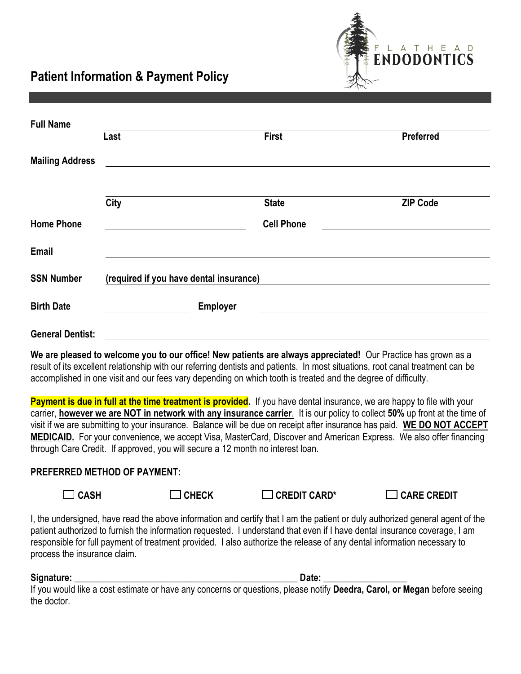**Patient Information & Payment Policy**



| <b>Full Name</b>        |                                         |                   |                  |  |  |
|-------------------------|-----------------------------------------|-------------------|------------------|--|--|
|                         | Last                                    | <b>First</b>      | <b>Preferred</b> |  |  |
| <b>Mailing Address</b>  |                                         |                   |                  |  |  |
|                         | City                                    | <b>State</b>      | <b>ZIP Code</b>  |  |  |
| <b>Home Phone</b>       |                                         | <b>Cell Phone</b> |                  |  |  |
| Email                   |                                         |                   |                  |  |  |
| <b>SSN Number</b>       | (required if you have dental insurance) |                   |                  |  |  |
| <b>Birth Date</b>       | <b>Employer</b>                         |                   |                  |  |  |
| <b>General Dentist:</b> |                                         |                   |                  |  |  |

**We are pleased to welcome you to our office! New patients are always appreciated!** Our Practice has grown as a result of its excellent relationship with our referring dentists and patients. In most situations, root canal treatment can be accomplished in one visit and our fees vary depending on which tooth is treated and the degree of difficulty.

Payment is due in full at the time treatment is provided. If you have dental insurance, we are happy to file with your carrier, **however we are NOT in network with any insurance carrier**. It is our policy to collect **50%** up front at the time of visit if we are submitting to your insurance. Balance will be due on receipt after insurance has paid. **WE DO NOT ACCEPT MEDICAID.** For your convenience, we accept Visa, MasterCard, Discover and American Express. We also offer financing through Care Credit. If approved, you will secure a 12 month no interest loan.

## **PREFERRED METHOD OF PAYMENT:**

 **CASH CHECK CREDIT CARD\* CARE CREDIT** 

I, the undersigned, have read the above information and certify that I am the patient or duly authorized general agent of the patient authorized to furnish the information requested. I understand that even if I have dental insurance coverage, I am responsible for full payment of treatment provided. I also authorize the release of any dental information necessary to process the insurance claim.

**Signature: \_\_\_\_\_\_\_\_\_\_\_\_\_\_\_\_\_\_\_\_\_\_\_\_\_\_\_\_\_\_\_\_\_\_\_\_\_\_\_\_\_\_\_\_\_\_\_\_ Date: \_\_\_\_\_\_\_\_\_\_\_\_\_\_\_\_\_\_**

If you would like a cost estimate or have any concerns or questions, please notify **Deedra, Carol, or Megan** before seeing the doctor.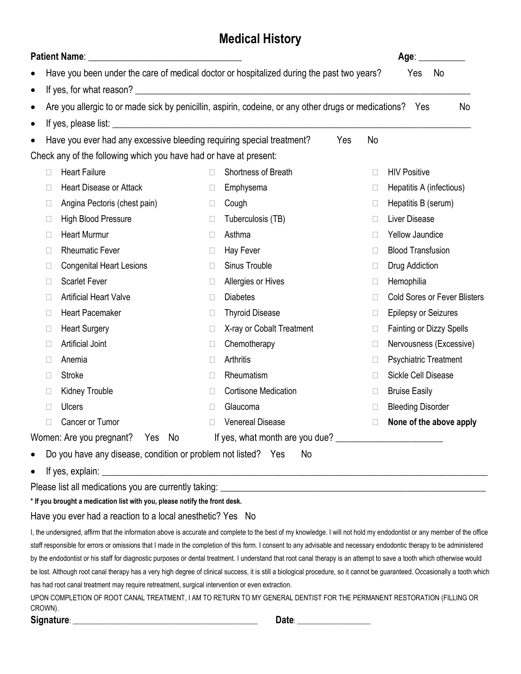## **Medical History**

|                                                                                                                                                                                                                            |                                                                                                      |        | Age: _________                      |
|----------------------------------------------------------------------------------------------------------------------------------------------------------------------------------------------------------------------------|------------------------------------------------------------------------------------------------------|--------|-------------------------------------|
|                                                                                                                                                                                                                            | Have you been under the care of medical doctor or hospitalized during the past two years?            |        | Yes<br>No                           |
| $\bullet$                                                                                                                                                                                                                  |                                                                                                      |        |                                     |
| $\bullet$                                                                                                                                                                                                                  | Are you allergic to or made sick by penicillin, aspirin, codeine, or any other drugs or medications? |        | No<br>Yes                           |
| $\bullet$                                                                                                                                                                                                                  |                                                                                                      |        |                                     |
| Have you ever had any excessive bleeding requiring special treatment?<br>$\bullet$                                                                                                                                         | Yes                                                                                                  | No     |                                     |
| Check any of the following which you have had or have at present:                                                                                                                                                          |                                                                                                      |        |                                     |
| <b>Heart Failure</b><br>П                                                                                                                                                                                                  | Shortness of Breath<br>П                                                                             | $\Box$ | <b>HIV Positive</b>                 |
| <b>Heart Disease or Attack</b>                                                                                                                                                                                             | Emphysema<br>$\Box$                                                                                  | $\Box$ | Hepatitis A (infectious)            |
| Angina Pectoris (chest pain)<br>$\Box$                                                                                                                                                                                     | Cough<br>$\Box$                                                                                      | $\Box$ | Hepatitis B (serum)                 |
| High Blood Pressure<br>$\Box$                                                                                                                                                                                              | Tuberculosis (TB)<br>$\Box$                                                                          | $\Box$ | Liver Disease                       |
| <b>Heart Murmur</b><br>$\Box$                                                                                                                                                                                              | Asthma<br>$\Box$                                                                                     | $\Box$ | <b>Yellow Jaundice</b>              |
| <b>Rheumatic Fever</b><br>п                                                                                                                                                                                                | Hay Fever<br>$\Box$                                                                                  | $\Box$ | <b>Blood Transfusion</b>            |
| <b>Congenital Heart Lesions</b><br>⊔                                                                                                                                                                                       | Sinus Trouble<br>$\Box$                                                                              | $\Box$ | Drug Addiction                      |
| <b>Scarlet Fever</b><br>Ш                                                                                                                                                                                                  | Allergies or Hives<br>$\Box$                                                                         | $\Box$ | Hemophilia                          |
| <b>Artificial Heart Valve</b><br>П                                                                                                                                                                                         | <b>Diabetes</b><br>$\Box$                                                                            | $\Box$ | <b>Cold Sores or Fever Blisters</b> |
| <b>Heart Pacemaker</b><br>$\Box$                                                                                                                                                                                           | <b>Thyroid Disease</b><br>$\Box$                                                                     | $\Box$ | <b>Epilepsy or Seizures</b>         |
| <b>Heart Surgery</b><br>$\Box$                                                                                                                                                                                             | X-ray or Cobalt Treatment<br>$\Box$                                                                  | $\Box$ | <b>Fainting or Dizzy Spells</b>     |
| Artificial Joint<br>$\Box$                                                                                                                                                                                                 | Chemotherapy<br>$\Box$                                                                               | $\Box$ | Nervousness (Excessive)             |
| Anemia                                                                                                                                                                                                                     | Arthritis<br>$\Box$                                                                                  | $\Box$ | <b>Psychiatric Treatment</b>        |
| Stroke<br>$\Box$                                                                                                                                                                                                           | Rheumatism<br>$\Box$                                                                                 | $\Box$ | <b>Sickle Cell Disease</b>          |
| Kidney Trouble                                                                                                                                                                                                             | <b>Cortisone Medication</b><br>$\Box$                                                                | $\Box$ | <b>Bruise Easily</b>                |
| <b>Ulcers</b><br>$\Box$                                                                                                                                                                                                    | Glaucoma<br>$\mathbf{L}$                                                                             | $\Box$ | <b>Bleeding Disorder</b>            |
| Cancer or Tumor                                                                                                                                                                                                            | <b>Venereal Disease</b>                                                                              | $\Box$ | None of the above apply             |
| Women: Are you pregnant? Yes No                                                                                                                                                                                            | If yes, what month are you due?                                                                      |        |                                     |
| Do you have any disease, condition or problem not listed? Yes<br>$\bullet$                                                                                                                                                 | No                                                                                                   |        |                                     |
| $\bullet$                                                                                                                                                                                                                  |                                                                                                      |        |                                     |
|                                                                                                                                                                                                                            |                                                                                                      |        |                                     |
| * If you brought a medication list with you, please notify the front desk.                                                                                                                                                 |                                                                                                      |        |                                     |
| Have you ever had a reaction to a local anesthetic? Yes No                                                                                                                                                                 |                                                                                                      |        |                                     |
| I, the undersigned, affirm that the information above is accurate and complete to the best of my knowledge. I will not hold my endodontist or any member of the office                                                     |                                                                                                      |        |                                     |
| staff responsible for errors or omissions that I made in the completion of this form. I consent to any advisable and necessary endodontic therapy to be administered                                                       |                                                                                                      |        |                                     |
| by the endodontist or his staff for diagnostic purposes or dental treatment. I understand that root canal therapy is an attempt to save a tooth which otherwise would                                                      |                                                                                                      |        |                                     |
| be lost. Although root canal therapy has a very high degree of clinical success, it is still a biological procedure, so it cannot be guaranteed. Occasionally a tooth which                                                |                                                                                                      |        |                                     |
| has had root canal treatment may require retreatment, surgical intervention or even extraction.<br>UPON COMPLETION OF ROOT CANAL TREATMENT, I AM TO RETURN TO MY GENERAL DENTIST FOR THE PERMANENT RESTORATION (FILLING OR |                                                                                                      |        |                                     |
| CROWN).                                                                                                                                                                                                                    |                                                                                                      |        |                                     |
|                                                                                                                                                                                                                            |                                                                                                      |        |                                     |